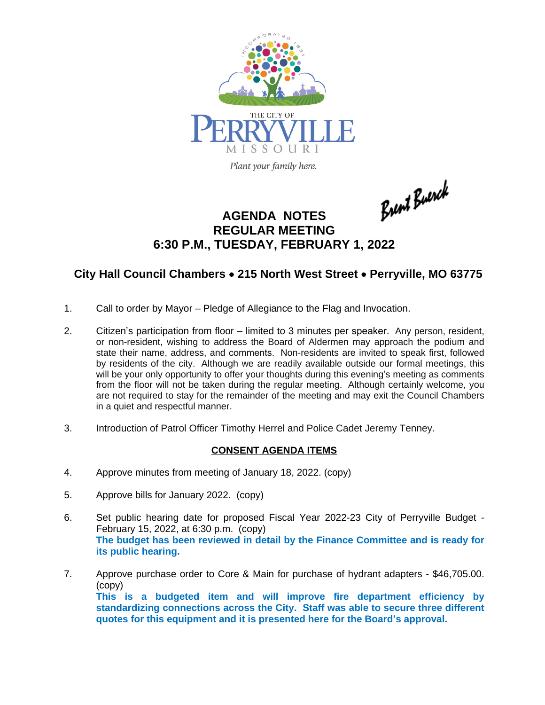

Brent Buerck

## **AGENDA NOTES REGULAR MEETING 6:30 P.M., TUESDAY, FEBRUARY 1, 2022**

## **City Hall Council Chambers** · **215 North West Street** · **Perryville, MO 63775**

- 1. Call to order by Mayor Pledge of Allegiance to the Flag and Invocation.
- 2. Citizen's participation from floor limited to 3 minutes per speaker. Any person, resident, or non-resident, wishing to address the Board of Aldermen may approach the podium and state their name, address, and comments. Non-residents are invited to speak first, followed by residents of the city. Although we are readily available outside our formal meetings, this will be your only opportunity to offer your thoughts during this evening's meeting as comments from the floor will not be taken during the regular meeting. Although certainly welcome, you are not required to stay for the remainder of the meeting and may exit the Council Chambers in a quiet and respectful manner.
- 3. Introduction of Patrol Officer Timothy Herrel and Police Cadet Jeremy Tenney.

## **CONSENT AGENDA ITEMS**

- 4. Approve minutes from meeting of January 18, 2022. (copy)
- 5. Approve bills for January 2022. (copy)
- 6. Set public hearing date for proposed Fiscal Year 2022-23 City of Perryville Budget February 15, 2022, at 6:30 p.m. (copy) **The budget has been reviewed in detail by the Finance Committee and is ready for its public hearing.**
- 7. Approve purchase order to Core & Main for purchase of hydrant adapters \$46,705.00. (copy) **This is a budgeted item and will improve fire department efficiency by standardizing connections across the City. Staff was able to secure three different quotes for this equipment and it is presented here for the Board's approval.**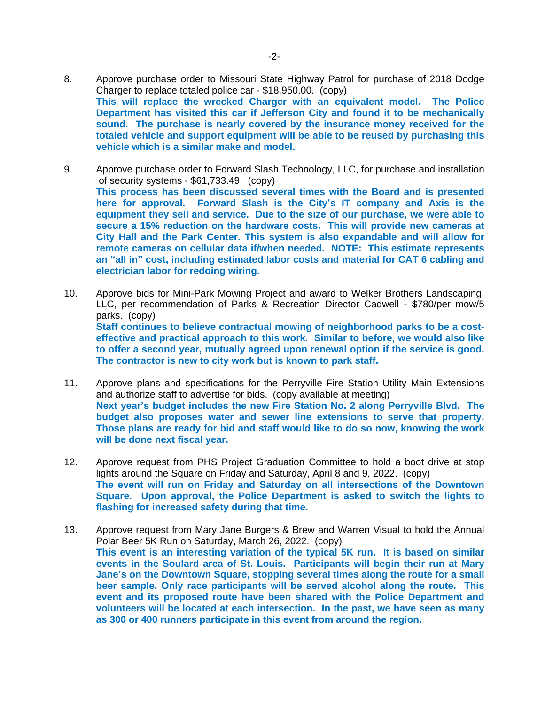- 8. Approve purchase order to Missouri State Highway Patrol for purchase of 2018 Dodge Charger to replace totaled police car - \$18,950.00. (copy) **This will replace the wrecked Charger with an equivalent model. The Police Department has visited this car if Jefferson City and found it to be mechanically sound. The purchase is nearly covered by the insurance money received for the totaled vehicle and support equipment will be able to be reused by purchasing this vehicle which is a similar make and model.**
- 9. Approve purchase order to Forward Slash Technology, LLC, for purchase and installation of security systems - \$61,733.49. (copy) **This process has been discussed several times with the Board and is presented here for approval. Forward Slash is the City's IT company and Axis is the equipment they sell and service. Due to the size of our purchase, we were able to secure a 15% reduction on the hardware costs. This will provide new cameras at City Hall and the Park Center. This system is also expandable and will allow for remote cameras on cellular data if/when needed. NOTE: This estimate represents an "all in" cost, including estimated labor costs and material for CAT 6 cabling and electrician labor for redoing wiring.**
- 10. Approve bids for Mini-Park Mowing Project and award to Welker Brothers Landscaping, LLC, per recommendation of Parks & Recreation Director Cadwell - \$780/per mow/5 parks. (copy) **Staff continues to believe contractual mowing of neighborhood parks to be a costeffective and practical approach to this work. Similar to before, we would also like to offer a second year, mutually agreed upon renewal option if the service is good. The contractor is new to city work but is known to park staff.**
- 11. Approve plans and specifications for the Perryville Fire Station Utility Main Extensions and authorize staff to advertise for bids. (copy available at meeting) **Next year's budget includes the new Fire Station No. 2 along Perryville Blvd. The budget also proposes water and sewer line extensions to serve that property. Those plans are ready for bid and staff would like to do so now, knowing the work will be done next fiscal year.**
- 12. Approve request from PHS Project Graduation Committee to hold a boot drive at stop lights around the Square on Friday and Saturday, April 8 and 9, 2022. (copy) **The event will run on Friday and Saturday on all intersections of the Downtown Square. Upon approval, the Police Department is asked to switch the lights to flashing for increased safety during that time.**
- 13. Approve request from Mary Jane Burgers & Brew and Warren Visual to hold the Annual Polar Beer 5K Run on Saturday, March 26, 2022. (copy) **This event is an interesting variation of the typical 5K run. It is based on similar events in the Soulard area of St. Louis. Participants will begin their run at Mary Jane's on the Downtown Square, stopping several times along the route for a small beer sample. Only race participants will be served alcohol along the route. This event and its proposed route have been shared with the Police Department and volunteers will be located at each intersection. In the past, we have seen as many as 300 or 400 runners participate in this event from around the region.**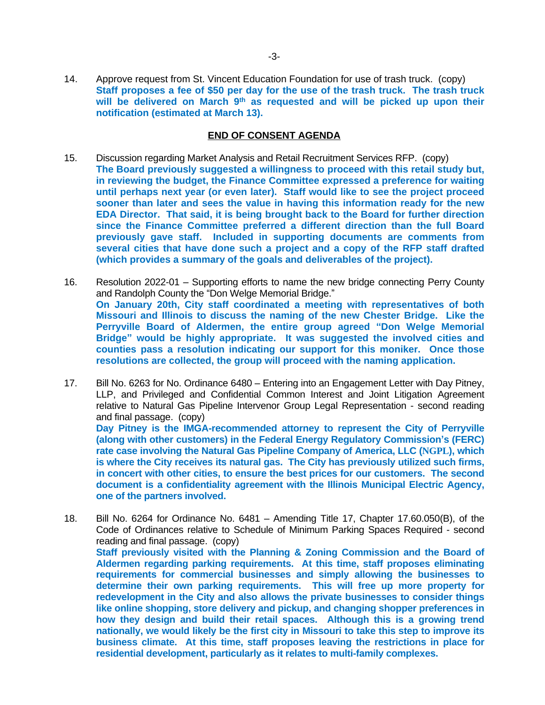14. Approve request from St. Vincent Education Foundation for use of trash truck. (copy) **Staff proposes a fee of \$50 per day for the use of the trash truck. The trash truck will be delivered on March 9 th as requested and will be picked up upon their notification (estimated at March 13).**

## **END OF CONSENT AGENDA**

- 15. Discussion regarding Market Analysis and Retail Recruitment Services RFP. (copy) **The Board previously suggested a willingness to proceed with this retail study but, in reviewing the budget, the Finance Committee expressed a preference for waiting until perhaps next year (or even later). Staff would like to see the project proceed sooner than later and sees the value in having this information ready for the new EDA Director. That said, it is being brought back to the Board for further direction since the Finance Committee preferred a different direction than the full Board previously gave staff. Included in supporting documents are comments from several cities that have done such a project and a copy of the RFP staff drafted (which provides a summary of the goals and deliverables of the project).**
- 16. Resolution 2022-01 Supporting efforts to name the new bridge connecting Perry County and Randolph County the "Don Welge Memorial Bridge." **On January 20th, City staff coordinated a meeting with representatives of both Missouri and Illinois to discuss the naming of the new Chester Bridge. Like the Perryville Board of Aldermen, the entire group agreed "Don Welge Memorial Bridge" would be highly appropriate. It was suggested the involved cities and counties pass a resolution indicating our support for this moniker. Once those resolutions are collected, the group will proceed with the naming application.**
- 17. Bill No. 6263 for No. Ordinance 6480 Entering into an Engagement Letter with Day Pitney, LLP, and Privileged and Confidential Common Interest and Joint Litigation Agreement relative to Natural Gas Pipeline Intervenor Group Legal Representation - second reading and final passage. (copy) **Day Pitney is the IMGA-recommended attorney to represent the City of Perryville (along with other customers) in the Federal Energy Regulatory Commission's (FERC) rate case involving the Natural Gas Pipeline Company of America, LLC (NGPL), which is where the City receives its natural gas. The City has previously utilized such firms, in concert with other cities, to ensure the best prices for our customers. The second document is a confidentiality agreement with the Illinois Municipal Electric Agency,**

**one of the partners involved.**

18. Bill No. 6264 for Ordinance No. 6481 – Amending Title 17, Chapter 17.60.050(B), of the Code of Ordinances relative to Schedule of Minimum Parking Spaces Required - second reading and final passage. (copy) **Staff previously visited with the Planning & Zoning Commission and the Board of Aldermen regarding parking requirements. At this time, staff proposes eliminating requirements for commercial businesses and simply allowing the businesses to determine their own parking requirements. This will free up more property for redevelopment in the City and also allows the private businesses to consider things like online shopping, store delivery and pickup, and changing shopper preferences in how they design and build their retail spaces. Although this is a growing trend nationally, we would likely be the first city in Missouri to take this step to improve its business climate. At this time, staff proposes leaving the restrictions in place for residential development, particularly as it relates to multi-family complexes.**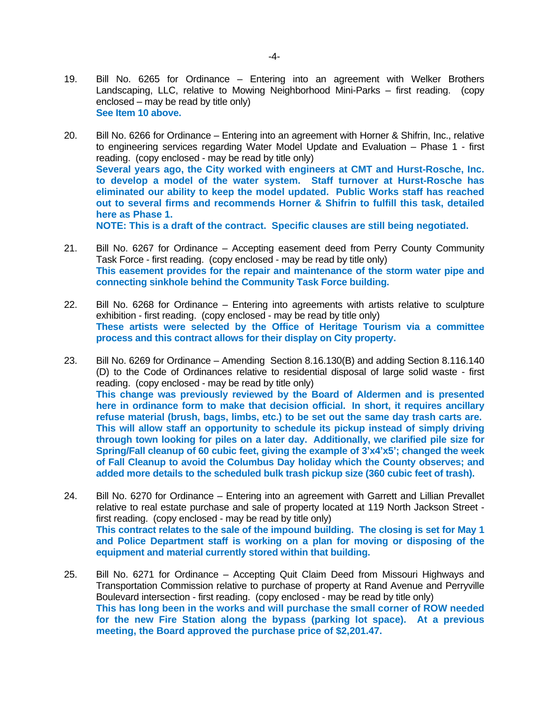- 19. Bill No. 6265 for Ordinance Entering into an agreement with Welker Brothers Landscaping, LLC, relative to Mowing Neighborhood Mini-Parks – first reading. (copy enclosed – may be read by title only) **See Item 10 above.**
- 20. Bill No. 6266 for Ordinance Entering into an agreement with Horner & Shifrin, Inc., relative to engineering services regarding Water Model Update and Evaluation – Phase 1 - first reading. (copy enclosed - may be read by title only) **Several years ago, the City worked with engineers at CMT and Hurst-Rosche, Inc. to develop a model of the water system. Staff turnover at Hurst-Rosche has eliminated our ability to keep the model updated. Public Works staff has reached out to several firms and recommends Horner & Shifrin to fulfill this task, detailed here as Phase 1. NOTE: This is a draft of the contract. Specific clauses are still being negotiated.**
- 21. Bill No. 6267 for Ordinance Accepting easement deed from Perry County Community Task Force - first reading. (copy enclosed - may be read by title only) **This easement provides for the repair and maintenance of the storm water pipe and connecting sinkhole behind the Community Task Force building.**
- 22. Bill No. 6268 for Ordinance Entering into agreements with artists relative to sculpture exhibition - first reading. (copy enclosed - may be read by title only) **These artists were selected by the Office of Heritage Tourism via a committee process and this contract allows for their display on City property.**
- 23. Bill No. 6269 for Ordinance Amending Section 8.16.130(B) and adding Section 8.116.140 (D) to the Code of Ordinances relative to residential disposal of large solid waste - first reading. (copy enclosed - may be read by title only) **This change was previously reviewed by the Board of Aldermen and is presented here in ordinance form to make that decision official. In short, it requires ancillary refuse material (brush, bags, limbs, etc.) to be set out the same day trash carts are. This will allow staff an opportunity to schedule its pickup instead of simply driving through town looking for piles on a later day. Additionally, we clarified pile size for** Spring/Fall cleanup of 60 cubic feet, giving the example of 3'x4'x5'; changed the week **of Fall Cleanup to avoid the Columbus Day holiday which the County observes; and added more details to the scheduled bulk trash pickup size (360 cubic feet of trash).**
- 24. Bill No. 6270 for Ordinance Entering into an agreement with Garrett and Lillian Prevallet relative to real estate purchase and sale of property located at 119 North Jackson Street first reading. (copy enclosed - may be read by title only) **This contract relates to the sale of the impound building. The closing is set for May 1 and Police Department staff is working on a plan for moving or disposing of the equipment and material currently stored within that building.**
- 25. Bill No. 6271 for Ordinance Accepting Quit Claim Deed from Missouri Highways and Transportation Commission relative to purchase of property at Rand Avenue and Perryville Boulevard intersection - first reading. (copy enclosed - may be read by title only) **This has long been in the works and will purchase the small corner of ROW needed for the new Fire Station along the bypass (parking lot space). At a previous meeting, the Board approved the purchase price of \$2,201.47.**